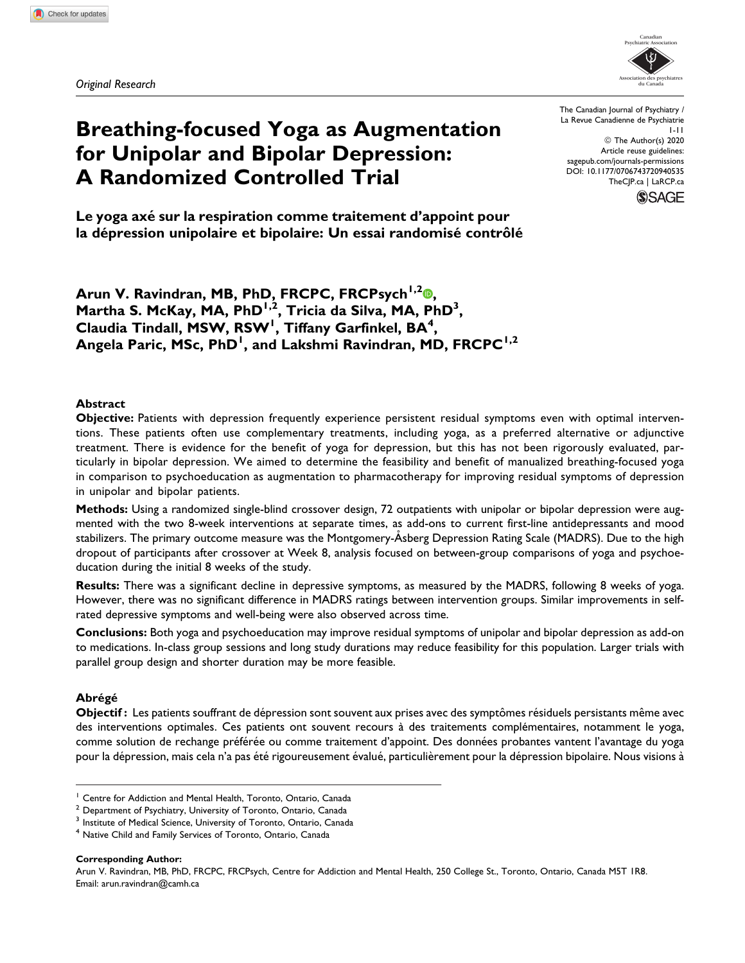Original Research



# Breathing-focused Yoga as Augmentation for Unipolar and Bipolar Depression: A Randomized Controlled Trial

The Canadian Journal of Psychiatry / La Revue Canadienne de Psychiatrie 1-11 © The Author(s) 2020 Article reuse guidelines: [sagepub.com/journals-permissions](https://sagepub.com/journals-permissions) [DOI: 10.1177/0706743720940535](https://doi.org/10.1177/0706743720940535) [TheCJP.ca](http://thecjp.ca) | [LaRCP.ca](http://larcp.ca)



Le yoga axé sur la respiration comme traitement d'appoint pour la dépression unipolaire et bipolaire: Un essai randomisé contrôlé

Arun V. Ravindran[,](https://orcid.org/0000-0002-1655-2753) MB, PhD, FRCPC, FRCPsych<sup>1,2</sup>®, Martha S. McKay, MA, PhD<sup>1,2</sup>, Tricia da Silva, MA, PhD<sup>3</sup>, Claudia Tindall, MSW,  ${\sf RSW}^1$ , Tiffany Garfinkel,  ${\sf BA}^4$ , Angela Paric, MSc, PhD<sup>1</sup>, and Lakshmi Ravindran, MD, FRCPC<sup>1,2</sup>

#### Abstract

Objective: Patients with depression frequently experience persistent residual symptoms even with optimal interventions. These patients often use complementary treatments, including yoga, as a preferred alternative or adjunctive treatment. There is evidence for the benefit of yoga for depression, but this has not been rigorously evaluated, particularly in bipolar depression. We aimed to determine the feasibility and benefit of manualized breathing-focused yoga in comparison to psychoeducation as augmentation to pharmacotherapy for improving residual symptoms of depression in unipolar and bipolar patients.

Methods: Using a randomized single-blind crossover design, 72 outpatients with unipolar or bipolar depression were augmented with the two 8-week interventions at separate times, as add-ons to current first-line antidepressants and mood stabilizers. The primary outcome measure was the Montgomery-Asberg Depression Rating Scale (MADRS). Due to the high dropout of participants after crossover at Week 8, analysis focused on between-group comparisons of yoga and psychoeducation during the initial 8 weeks of the study.

Results: There was a significant decline in depressive symptoms, as measured by the MADRS, following 8 weeks of yoga. However, there was no significant difference in MADRS ratings between intervention groups. Similar improvements in selfrated depressive symptoms and well-being were also observed across time.

Conclusions: Both yoga and psychoeducation may improve residual symptoms of unipolar and bipolar depression as add-on to medications. In-class group sessions and long study durations may reduce feasibility for this population. Larger trials with parallel group design and shorter duration may be more feasible.

#### **Abrégé**

Objectif : Les patients souffrant de dépression sont souvent aux prises avec des symptômes résiduels persistants même avec des interventions optimales. Ces patients ont souvent recours à des traitements complémentaires, notamment le yoga, comme solution de rechange préférée ou comme traitement d'appoint. Des données probantes vantent l'avantage du yoga pour la dépression, mais cela n'a pas été rigoureusement évalué, particulièrement pour la dépression bipolaire. Nous visions à

Corresponding Author:

<sup>&</sup>lt;sup>1</sup> Centre for Addiction and Mental Health, Toronto, Ontario, Canada

<sup>2</sup> Department of Psychiatry, University of Toronto, Ontario, Canada

<sup>&</sup>lt;sup>3</sup> Institute of Medical Science, University of Toronto, Ontario, Canada

<sup>&</sup>lt;sup>4</sup> Native Child and Family Services of Toronto, Ontario, Canada

Arun V. Ravindran, MB, PhD, FRCPC, FRCPsych, Centre for Addiction and Mental Health, 250 College St., Toronto, Ontario, Canada M5T 1R8. Email: [arun.ravindran@camh.ca](mailto:arun.ravindran@camh.ca)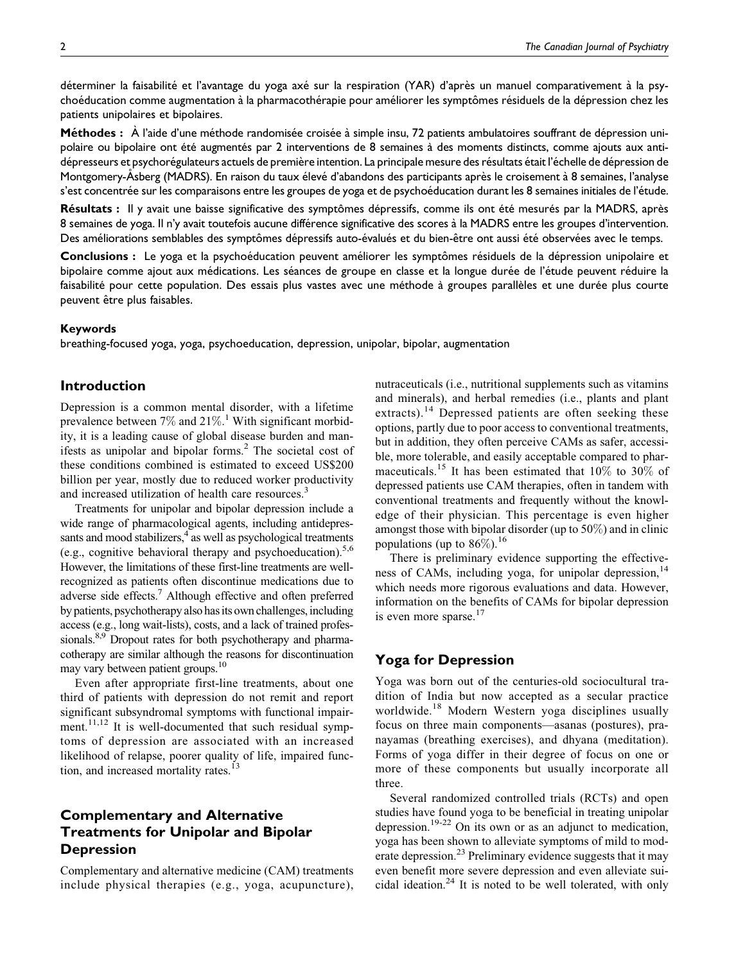déterminer la faisabilité et l'avantage du yoga axé sur la respiration (YAR) d'après un manuel comparativement à la psychoéducation comme augmentation à la pharmacothérapie pour améliorer les symptômes résiduels de la dépression chez les patients unipolaires et bipolaires.

Méthodes : À l'aide d'une méthode randomisée croisée à simple insu, 72 patients ambulatoires souffrant de dépression unipolaire ou bipolaire ont été augmentés par 2 interventions de 8 semaines à des moments distincts, comme ajouts aux antidépresseurs et psychorégulateurs actuels de première intention. La principale mesure des résultats était l'échelle de dépression de Montgomery-Asberg (MADRS). En raison du taux élevé d'abandons des participants après le croisement à 8 semaines, l'analyse s'est concentrée sur les comparaisons entre les groupes de yoga et de psychoéducation durant les 8 semaines initiales de l'étude.

Résultats : Il y avait une baisse significative des symptômes dépressifs, comme ils ont été mesurés par la MADRS, après 8 semaines de yoga. Il n'y avait toutefois aucune différence significative des scores à la MADRS entre les groupes d'intervention. Des améliorations semblables des symptômes dépressifs auto-évalués et du bien-être ont aussi été observées avec le temps.

Conclusions : Le yoga et la psychoéducation peuvent améliorer les symptômes résiduels de la dépression unipolaire et bipolaire comme ajout aux médications. Les séances de groupe en classe et la longue durée de l'étude peuvent réduire la faisabilité pour cette population. Des essais plus vastes avec une méthode à groupes parallèles et une durée plus courte peuvent être plus faisables.

#### Keywords

breathing-focused yoga, yoga, psychoeducation, depression, unipolar, bipolar, augmentation

# Introduction

Depression is a common mental disorder, with a lifetime prevalence between  $7\%$  and  $21\%$ .<sup>1</sup> With significant morbidity, it is a leading cause of global disease burden and manifests as unipolar and bipolar forms.<sup>2</sup> The societal cost of these conditions combined is estimated to exceed US\$200 billion per year, mostly due to reduced worker productivity and increased utilization of health care resources.<sup>3</sup>

Treatments for unipolar and bipolar depression include a wide range of pharmacological agents, including antidepressants and mood stabilizers, $4 \text{ as well as psychological treatments}$ (e.g., cognitive behavioral therapy and psychoeducation).5,6 However, the limitations of these first-line treatments are wellrecognized as patients often discontinue medications due to adverse side effects.7 Although effective and often preferred by patients, psychotherapy also has its own challenges, including access (e.g., long wait-lists), costs, and a lack of trained professionals.<sup>8,9</sup> Dropout rates for both psychotherapy and pharmacotherapy are similar although the reasons for discontinuation may vary between patient groups.<sup>10</sup>

Even after appropriate first-line treatments, about one third of patients with depression do not remit and report significant subsyndromal symptoms with functional impairment.<sup>11,12</sup> It is well-documented that such residual symptoms of depression are associated with an increased likelihood of relapse, poorer quality of life, impaired function, and increased mortality rates.<sup>13</sup>

# Complementary and Alternative Treatments for Unipolar and Bipolar Depression

Complementary and alternative medicine (CAM) treatments include physical therapies (e.g., yoga, acupuncture),

nutraceuticals (i.e., nutritional supplements such as vitamins and minerals), and herbal remedies (i.e., plants and plant extracts).<sup>14</sup> Depressed patients are often seeking these options, partly due to poor access to conventional treatments, but in addition, they often perceive CAMs as safer, accessible, more tolerable, and easily acceptable compared to pharmaceuticals.<sup>15</sup> It has been estimated that  $10\%$  to 30% of depressed patients use CAM therapies, often in tandem with conventional treatments and frequently without the knowledge of their physician. This percentage is even higher amongst those with bipolar disorder (up to 50%) and in clinic populations (up to  $86\%$ ).<sup>16</sup>

There is preliminary evidence supporting the effectiveness of CAMs, including yoga, for unipolar depression,<sup>14</sup> which needs more rigorous evaluations and data. However, information on the benefits of CAMs for bipolar depression is even more sparse. $17$ 

# Yoga for Depression

Yoga was born out of the centuries-old sociocultural tradition of India but now accepted as a secular practice worldwide.<sup>18</sup> Modern Western yoga disciplines usually focus on three main components—asanas (postures), pranayamas (breathing exercises), and dhyana (meditation). Forms of yoga differ in their degree of focus on one or more of these components but usually incorporate all three.

Several randomized controlled trials (RCTs) and open studies have found yoga to be beneficial in treating unipolar depression.19-22 On its own or as an adjunct to medication, yoga has been shown to alleviate symptoms of mild to moderate depression.<sup>23</sup> Preliminary evidence suggests that it may even benefit more severe depression and even alleviate suicidal ideation.<sup>24</sup> It is noted to be well tolerated, with only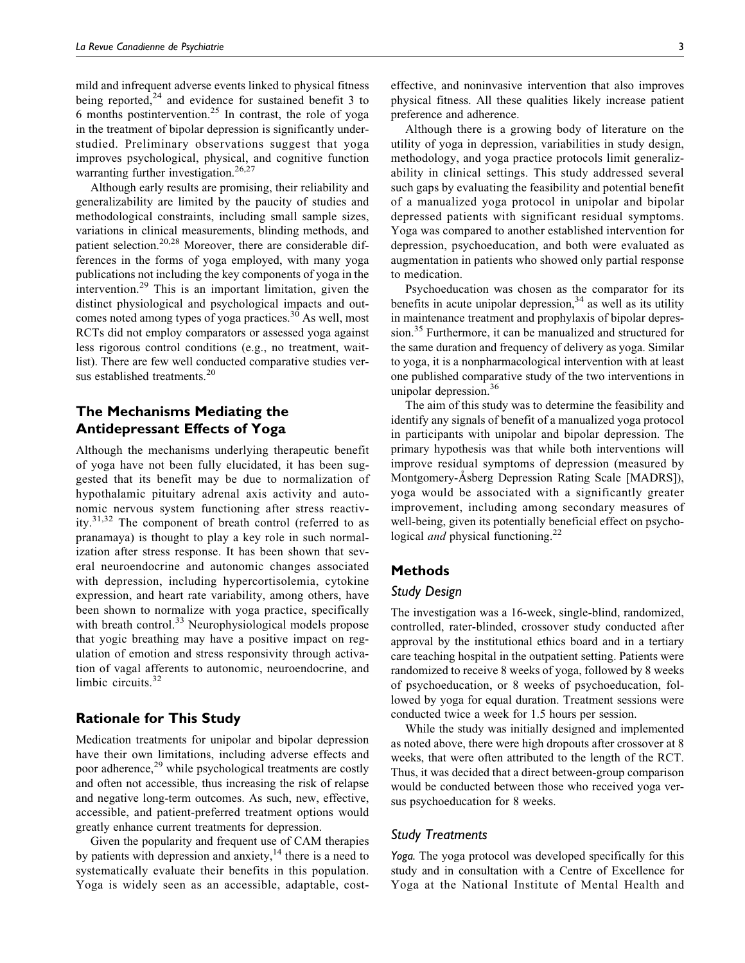mild and infrequent adverse events linked to physical fitness being reported, $24$  and evidence for sustained benefit 3 to 6 months postintervention.<sup>25</sup> In contrast, the role of yoga in the treatment of bipolar depression is significantly understudied. Preliminary observations suggest that yoga improves psychological, physical, and cognitive function warranting further investigation.<sup>26,27</sup>

Although early results are promising, their reliability and generalizability are limited by the paucity of studies and methodological constraints, including small sample sizes, variations in clinical measurements, blinding methods, and patient selection.<sup>20,28</sup> Moreover, there are considerable differences in the forms of yoga employed, with many yoga publications not including the key components of yoga in the intervention.<sup>29</sup> This is an important limitation, given the distinct physiological and psychological impacts and outcomes noted among types of yoga practices.<sup>30</sup> As well, most RCTs did not employ comparators or assessed yoga against less rigorous control conditions (e.g., no treatment, waitlist). There are few well conducted comparative studies versus established treatments.<sup>20</sup>

# The Mechanisms Mediating the Antidepressant Effects of Yoga

Although the mechanisms underlying therapeutic benefit of yoga have not been fully elucidated, it has been suggested that its benefit may be due to normalization of hypothalamic pituitary adrenal axis activity and autonomic nervous system functioning after stress reactivity.31,32 The component of breath control (referred to as pranamaya) is thought to play a key role in such normalization after stress response. It has been shown that several neuroendocrine and autonomic changes associated with depression, including hypercortisolemia, cytokine expression, and heart rate variability, among others, have been shown to normalize with yoga practice, specifically with breath control.<sup>33</sup> Neurophysiological models propose that yogic breathing may have a positive impact on regulation of emotion and stress responsivity through activation of vagal afferents to autonomic, neuroendocrine, and limbic circuits.<sup>32</sup>

# Rationale for This Study

Medication treatments for unipolar and bipolar depression have their own limitations, including adverse effects and poor adherence,<sup>29</sup> while psychological treatments are costly and often not accessible, thus increasing the risk of relapse and negative long-term outcomes. As such, new, effective, accessible, and patient-preferred treatment options would greatly enhance current treatments for depression.

Given the popularity and frequent use of CAM therapies by patients with depression and anxiety, $14$  there is a need to systematically evaluate their benefits in this population. Yoga is widely seen as an accessible, adaptable, cost-

Although there is a growing body of literature on the utility of yoga in depression, variabilities in study design, methodology, and yoga practice protocols limit generalizability in clinical settings. This study addressed several such gaps by evaluating the feasibility and potential benefit of a manualized yoga protocol in unipolar and bipolar depressed patients with significant residual symptoms. Yoga was compared to another established intervention for depression, psychoeducation, and both were evaluated as augmentation in patients who showed only partial response to medication.

Psychoeducation was chosen as the comparator for its benefits in acute unipolar depression,  $34$  as well as its utility in maintenance treatment and prophylaxis of bipolar depression.<sup>35</sup> Furthermore, it can be manualized and structured for the same duration and frequency of delivery as yoga. Similar to yoga, it is a nonpharmacological intervention with at least one published comparative study of the two interventions in unipolar depression.<sup>36</sup>

The aim of this study was to determine the feasibility and identify any signals of benefit of a manualized yoga protocol in participants with unipolar and bipolar depression. The primary hypothesis was that while both interventions will improve residual symptoms of depression (measured by Montgomery-Asberg Depression Rating Scale [MADRS]), yoga would be associated with a significantly greater improvement, including among secondary measures of well-being, given its potentially beneficial effect on psychological *and* physical functioning.<sup>22</sup>

#### Methods

#### Study Design

The investigation was a 16-week, single-blind, randomized, controlled, rater-blinded, crossover study conducted after approval by the institutional ethics board and in a tertiary care teaching hospital in the outpatient setting. Patients were randomized to receive 8 weeks of yoga, followed by 8 weeks of psychoeducation, or 8 weeks of psychoeducation, followed by yoga for equal duration. Treatment sessions were conducted twice a week for 1.5 hours per session.

While the study was initially designed and implemented as noted above, there were high dropouts after crossover at 8 weeks, that were often attributed to the length of the RCT. Thus, it was decided that a direct between-group comparison would be conducted between those who received yoga versus psychoeducation for 8 weeks.

#### Study Treatments

Yoga. The yoga protocol was developed specifically for this study and in consultation with a Centre of Excellence for Yoga at the National Institute of Mental Health and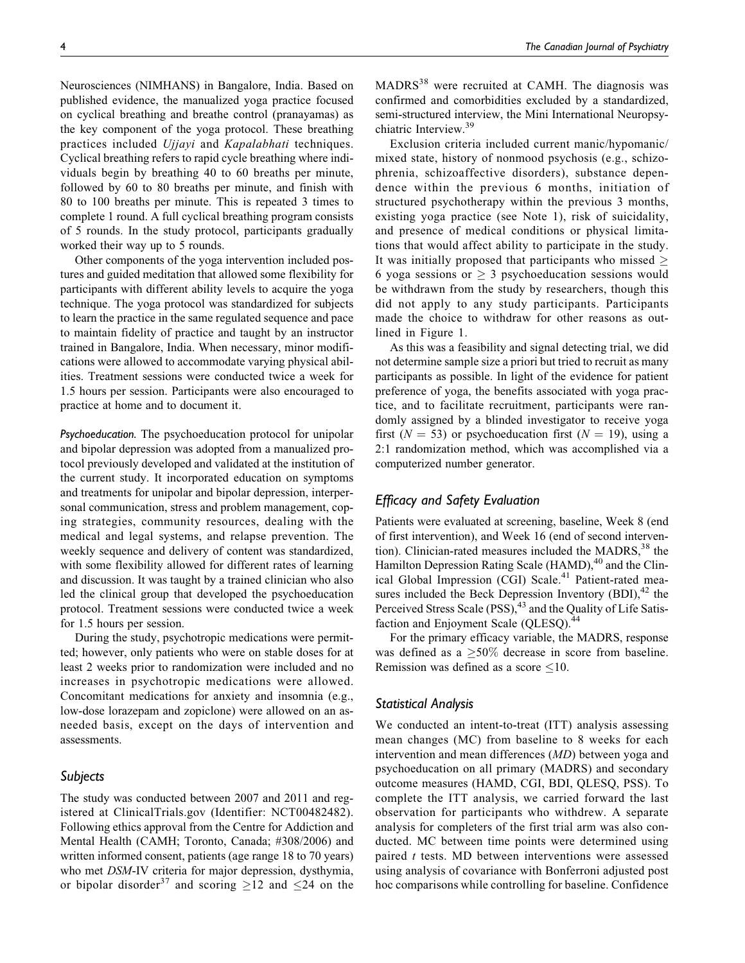Neurosciences (NIMHANS) in Bangalore, India. Based on published evidence, the manualized yoga practice focused on cyclical breathing and breathe control (pranayamas) as the key component of the yoga protocol. These breathing practices included Ujjayi and Kapalabhati techniques. Cyclical breathing refers to rapid cycle breathing where individuals begin by breathing 40 to 60 breaths per minute, followed by 60 to 80 breaths per minute, and finish with 80 to 100 breaths per minute. This is repeated 3 times to complete 1 round. A full cyclical breathing program consists of 5 rounds. In the study protocol, participants gradually worked their way up to 5 rounds.

Other components of the yoga intervention included postures and guided meditation that allowed some flexibility for participants with different ability levels to acquire the yoga technique. The yoga protocol was standardized for subjects to learn the practice in the same regulated sequence and pace to maintain fidelity of practice and taught by an instructor trained in Bangalore, India. When necessary, minor modifications were allowed to accommodate varying physical abilities. Treatment sessions were conducted twice a week for 1.5 hours per session. Participants were also encouraged to practice at home and to document it.

Psychoeducation. The psychoeducation protocol for unipolar and bipolar depression was adopted from a manualized protocol previously developed and validated at the institution of the current study. It incorporated education on symptoms and treatments for unipolar and bipolar depression, interpersonal communication, stress and problem management, coping strategies, community resources, dealing with the medical and legal systems, and relapse prevention. The weekly sequence and delivery of content was standardized, with some flexibility allowed for different rates of learning and discussion. It was taught by a trained clinician who also led the clinical group that developed the psychoeducation protocol. Treatment sessions were conducted twice a week for 1.5 hours per session.

During the study, psychotropic medications were permitted; however, only patients who were on stable doses for at least 2 weeks prior to randomization were included and no increases in psychotropic medications were allowed. Concomitant medications for anxiety and insomnia (e.g., low-dose lorazepam and zopiclone) were allowed on an asneeded basis, except on the days of intervention and assessments.

# Subjects

The study was conducted between 2007 and 2011 and registered at ClinicalTrials.gov (Identifier: NCT00482482). Following ethics approval from the Centre for Addiction and Mental Health (CAMH; Toronto, Canada; #308/2006) and written informed consent, patients (age range 18 to 70 years) who met DSM-IV criteria for major depression, dysthymia, or bipolar disorder<sup>37</sup> and scoring  $\geq$  12 and  $\leq$  24 on the

MADRS<sup>38</sup> were recruited at CAMH. The diagnosis was confirmed and comorbidities excluded by a standardized, semi-structured interview, the Mini International Neuropsychiatric Interview.<sup>39</sup>

Exclusion criteria included current manic/hypomanic/ mixed state, history of nonmood psychosis (e.g., schizophrenia, schizoaffective disorders), substance dependence within the previous 6 months, initiation of structured psychotherapy within the previous 3 months, existing yoga practice (see Note 1), risk of suicidality, and presence of medical conditions or physical limitations that would affect ability to participate in the study. It was initially proposed that participants who missed  $\geq$ 6 yoga sessions or  $\geq$  3 psychoeducation sessions would be withdrawn from the study by researchers, though this did not apply to any study participants. Participants made the choice to withdraw for other reasons as outlined in Figure 1.

As this was a feasibility and signal detecting trial, we did not determine sample size a priori but tried to recruit as many participants as possible. In light of the evidence for patient preference of yoga, the benefits associated with yoga practice, and to facilitate recruitment, participants were randomly assigned by a blinded investigator to receive yoga first ( $N = 53$ ) or psychoeducation first ( $N = 19$ ), using a 2:1 randomization method, which was accomplished via a computerized number generator.

# Efficacy and Safety Evaluation

Patients were evaluated at screening, baseline, Week 8 (end of first intervention), and Week 16 (end of second intervention). Clinician-rated measures included the MADRS,  $38$  the Hamilton Depression Rating Scale (HAMD),<sup>40</sup> and the Clinical Global Impression (CGI) Scale.<sup>41</sup> Patient-rated measures included the Beck Depression Inventory  $(BDI)$ ,<sup>42</sup> the Perceived Stress Scale (PSS),<sup>43</sup> and the Quality of Life Satisfaction and Enjoyment Scale (QLESQ).<sup>44</sup>

For the primary efficacy variable, the MADRS, response was defined as a  $\geq 50\%$  decrease in score from baseline. Remission was defined as a score  $\leq 10$ .

#### Statistical Analysis

We conducted an intent-to-treat (ITT) analysis assessing mean changes (MC) from baseline to 8 weeks for each intervention and mean differences (MD) between yoga and psychoeducation on all primary (MADRS) and secondary outcome measures (HAMD, CGI, BDI, QLESQ, PSS). To complete the ITT analysis, we carried forward the last observation for participants who withdrew. A separate analysis for completers of the first trial arm was also conducted. MC between time points were determined using paired t tests. MD between interventions were assessed using analysis of covariance with Bonferroni adjusted post hoc comparisons while controlling for baseline. Confidence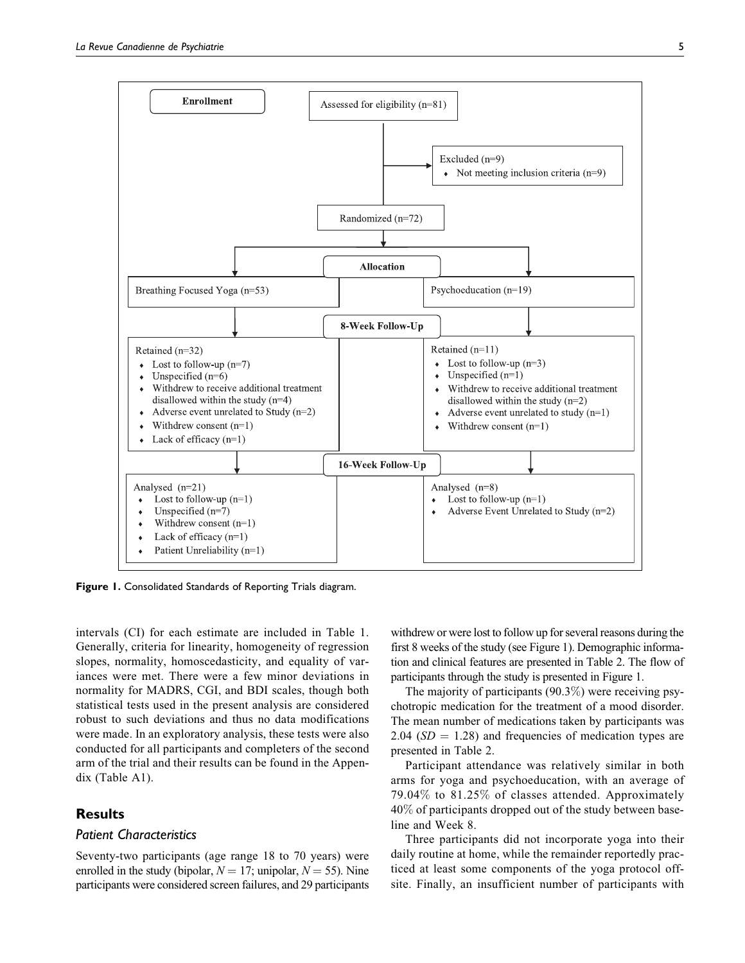

Figure 1. Consolidated Standards of Reporting Trials diagram.

intervals (CI) for each estimate are included in Table 1. Generally, criteria for linearity, homogeneity of regression slopes, normality, homoscedasticity, and equality of variances were met. There were a few minor deviations in normality for MADRS, CGI, and BDI scales, though both statistical tests used in the present analysis are considered robust to such deviations and thus no data modifications were made. In an exploratory analysis, these tests were also conducted for all participants and completers of the second arm of the trial and their results can be found in the Appendix (Table A1).

### **Results**

#### Patient Characteristics

Seventy-two participants (age range 18 to 70 years) were enrolled in the study (bipolar,  $N = 17$ ; unipolar,  $N = 55$ ). Nine participants were considered screen failures, and 29 participants

withdrew or were lost to follow up for several reasons during the first 8 weeks of the study (see Figure 1). Demographic information and clinical features are presented in Table 2. The flow of participants through the study is presented in Figure 1.

The majority of participants (90.3%) were receiving psychotropic medication for the treatment of a mood disorder. The mean number of medications taken by participants was 2.04 ( $SD = 1.28$ ) and frequencies of medication types are presented in Table 2.

Participant attendance was relatively similar in both arms for yoga and psychoeducation, with an average of 79.04% to 81.25% of classes attended. Approximately 40% of participants dropped out of the study between baseline and Week 8.

Three participants did not incorporate yoga into their daily routine at home, while the remainder reportedly practiced at least some components of the yoga protocol offsite. Finally, an insufficient number of participants with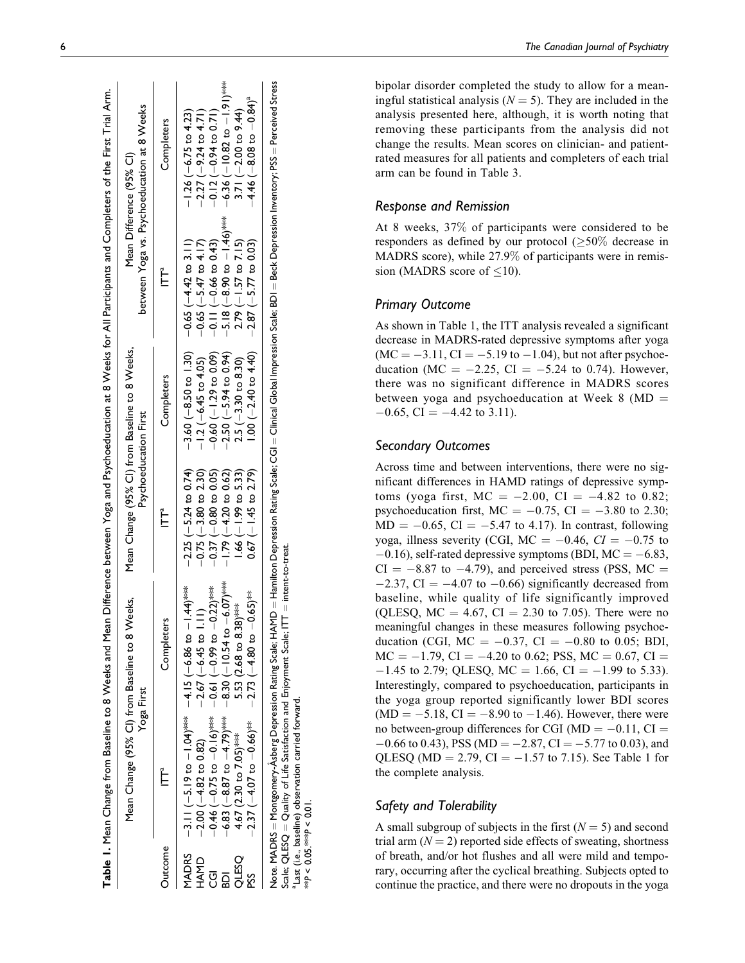|                                               |                                                                                                                                                                                                                                                                                | Mean Change (95% Cl) from Baseline to 8 Weeks,<br>Yoga First                                                                                                                                                                   | Mean Change (95% Cl) from Baseline to 8 Weeks,<br>Psychoeducation First                                                                                                      |                                                                                                                                                                                                                      | Mean Difference (95% CI)                                                                                                                                                | between Yoga vs. Psychoeducation at 8 Weeks                                                                                                                                                                                  |
|-----------------------------------------------|--------------------------------------------------------------------------------------------------------------------------------------------------------------------------------------------------------------------------------------------------------------------------------|--------------------------------------------------------------------------------------------------------------------------------------------------------------------------------------------------------------------------------|------------------------------------------------------------------------------------------------------------------------------------------------------------------------------|----------------------------------------------------------------------------------------------------------------------------------------------------------------------------------------------------------------------|-------------------------------------------------------------------------------------------------------------------------------------------------------------------------|------------------------------------------------------------------------------------------------------------------------------------------------------------------------------------------------------------------------------|
| <b>Dutcome</b>                                | Ĕ                                                                                                                                                                                                                                                                              | <b>Completers</b>                                                                                                                                                                                                              | Ė                                                                                                                                                                            | Completers                                                                                                                                                                                                           | Ĕ                                                                                                                                                                       | Completers                                                                                                                                                                                                                   |
| MADRS<br>HAMD<br><b>QS31C</b><br>შ<br>ი<br>ŠŠ | $-3.11(-5.19 \text{ to } -1.04)$ *** $+$ $-4.15(-6.86 \text{ to } -$<br>$-0.46$ $(-0.75$ to $-0.16$ <sup>****</sup><br>$-6.83$ ( $-8.87$ to $-4.79$ )***<br>$-2.37(-4.07$ to $-0.66)$ <sup>***</sup><br>4.67 (2.30 to 7.05) <sup>***</sup><br>$-2.00 (-4.82 \text{ to } 0.82)$ | $-8.30 (-10.54 \text{ to } -6.07)$<br>$1.44$ )***<br>$-0.61$ ( $-0.99$ to $-0.22$ )****<br>$0.65$ ) $*$<br>菱<br>$-2.67 (-6.45)$ to 1.1<br>5.53 (2.68 to 8.38)<br>$-2.73$ ( $-4.80$ to $-1$                                     | $-2.25$ ( $-5.24$ to 0.74)<br>$-0.75$ ( $-3.80$ to 2.30)<br>$-1.79(-4.20 \text{ to } 0.62)$<br>$1.66 (-1.99 to 5.33)$<br>$0.67 (-1.45$ to 2.79)<br>$-0.37$ $(-0.80$ to 0.05) | $-3.60$ ( $-8.50$ to 1.30) $-0.65$ ( $-4.42$ to 3.11)<br>$1.00 (-2.40 \text{ to } 4.40)$<br>$-2.50(-5.94 \text{ to } 0.94)$<br>$-0.60$ $(-1.29$ to 0.09)<br>$-1.2 (-6.45 \text{ to } 4.05)$<br>$2.5 (-3.30 to 8.30)$ | $-5.18 (-8.90 \text{ to } -1.46)^{*}$<br>$-0.65 (-5.47 \text{ to } 4.17)$<br>$-0.11 (-0.66 \text{ to } 0.43)$<br>$-2.87$ ( $-5.77$ to 0.03)<br>$2.79(-1.57$ to $7.15$ ) | $-6.36$ ( $-10.82$ to $-1.9$ ) <sup>****</sup><br>$-4.46$ (-8.08 to $-0.84$ ) <sup>a</sup><br>$-0.12(-0.94$ to 0.71)<br>3.71 $(-2.00 \text{ to } 9.44)$<br>$-2.27$ ( $-9.24$ to $4.71$ )<br>$-1.26 (-6.75 \text{ to } 4.23)$ |
|                                               |                                                                                                                                                                                                                                                                                | contracted the contracted to the contracted to the contracted of the contracted of the contracted of the contracted of the contracted of the contracted of the contracted of the contracted of the contracted of the contracte |                                                                                                                                                                              |                                                                                                                                                                                                                      |                                                                                                                                                                         |                                                                                                                                                                                                                              |

Table 1.

Mean Change from Baseline to 8 Weeks and Mean Difference between Yoga and Psychoeducation at 8 Weeks for All Participants and Completers of the First Trial Arm.

Table 1. Mean Change from Baseline to 8 Weeks and Mean Difference between Yoga and Psychoeducation at 8 Weeks for All Participants and Completers of the First Trial Arm.

 $=$  Beck Depression Inventory; PSS  $=$  Perceived Stress  $\mathsf{sberg}$  Depression Rating Scale; HAMD  $=$  Hamilton Depression Rating Scale; CGI  $=$  Clinical Global Impression Scale; BDI  $=$  Beck Depression Inventory; PSS  $=$  Perceived Stress  $=$  Clinical Global Impression Scale;  $BDI$ Note. MADRS = Montgomery-Asberg Depression Rating Scale; HAMD = Hamilton Depression Rating Scale; CGI Scale; QLESQ = Quality of Life Satisfaction and Enjoyment Scale; ITT = intent-to-treat. Scale; QLESQ  $=$  Quality of Life Satisfaction and Enjoyment Scale; ITT  $=$  intent-to-treat. aLast (i.e., baseline) observation carried forward. a Last (i.e., baseline) observation carried forward Note. MADRS = Montgomery-A

\*\*P < 0.05.\*\*\*P < 0.01.

 $\frac{\mathbf{p}}{k}$ 

 $< 0.05$ .\*\*\* $P < 0.01$ 

# 6 The Canadian Journal of Psychiatry

bipolar disorder completed the study to allow for a meaningful statistical analysis ( $N = 5$ ). They are included in the analysis presented here, although, it is worth noting that removing these participants from the analysis did not change the results. Mean scores on clinician- and patientrated measures for all patients and completers of each trial arm can be found in Table 3.

# Response and Remission

At 8 weeks, 37 % of participants were considered to be responders as defined by our protocol  $(\geq 50\%$  decrease in MADRS score), while 27.9 % of participants were in remission (MADRS score of  $\leq 10$ ).

# Primary Outcome

As shown in Table 1, the ITT analysis revealed a significant decrease in MADRS-rated depressive symptoms after yoga  $(MC = -3.11, CI = -5.19$  to  $-1.04$ ), but not after psychoeducation (MC =  $-2.25$ , CI =  $-5.24$  to 0.74). However, there was no significant difference in MADRS scores between yoga and psychoeducation at Week  $8 \text{ (MD)} =$  $-0.65$ , CI =  $-4.42$  to 3.11).

# Secondary Outcomes

Across time and between interventions, there were no significant differences in HAMD ratings of depressive symptoms (yoga first,  $MC = -2.00$ ,  $CI = -4.82$  to 0.82; psychoeducation first,  $MC = -0.75$ ,  $CI = -3.80$  to 2.30;  $MD = -0.65$ ,  $CI = -5.47$  to 4.17). In contrast, following yoga, illness severity (CGI, MC =  $-0.46$ ,  $CI = -0.75$  to  $-0.16$ ), self-rated depressive symptoms (BDI, MC =  $-6.83$ ,  $CI = -8.87$  to  $-4.79$ ), and perceived stress (PSS, MC =  $-2.37$ , CI =  $-4.07$  to  $-0.66$ ) significantly decreased from baseline, while quality of life significantly improved (QLESQ,  $MC = 4.67$ ,  $CI = 2.30$  to 7.05). There were no meaningful changes in these measures following psychoeducation (CGI,  $MC = -0.37$ ,  $CI = -0.80$  to 0.05; BDI,  $MC = -1.79$ ,  $CI = -4.20$  to 0.62; PSS,  $MC = 0.67$ ,  $CI =$  $-1.45$  to 2.79; QLESQ, MC = 1.66, CI =  $-1.99$  to 5.33). Interestingly, compared to psychoeducation, participants in the yoga group reported significantly lower BDI scores  $(MD = -5.18, CI = -8.90$  to  $-1.46$ ). However, there were no between-group differences for CGI  $(MD = -0.11, CI =$  $-0.66$  to 0.43), PSS (MD =  $-2.87$ , CI =  $-5.77$  to 0.03), and QLESQ (MD = 2.79, CI =  $-1.57$  to 7.15). See Table 1 for the complete analysis.

# Safety and Tolerability

A small subgroup of subjects in the first  $(N = 5)$  and second trial arm  $(N = 2)$  reported side effects of sweating, shortness of breath, and/or hot flushes and all were mild and temporary, occurring after the cyclical breathing. Subjects opted to continue the practice, and there were no dropouts in the yoga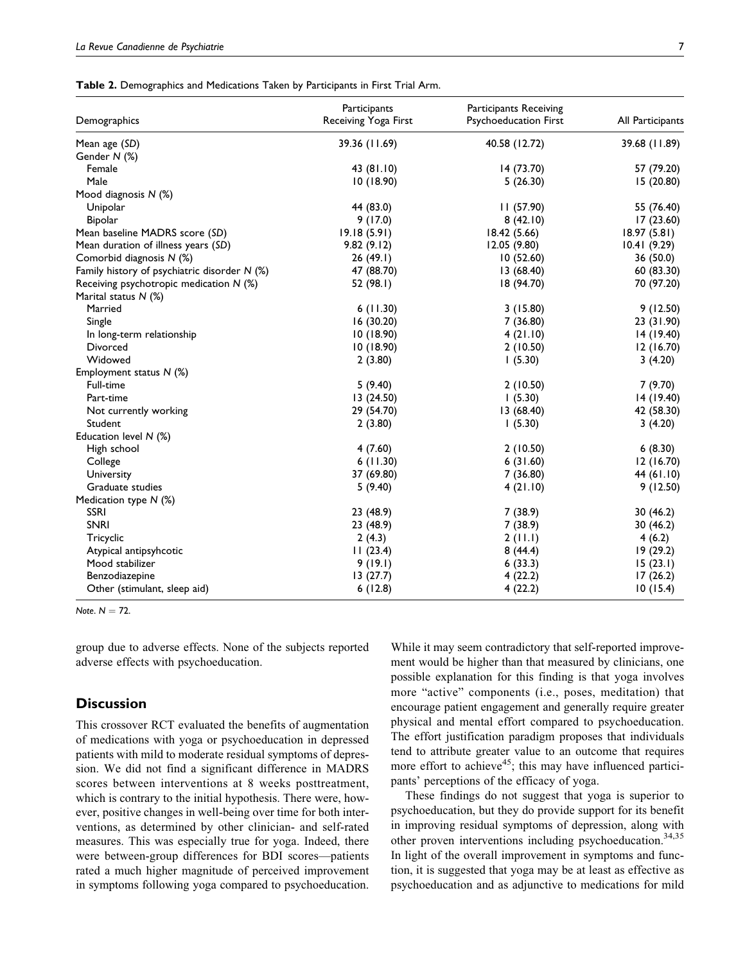|  | Table 2. Demographics and Medications Taken by Participants in First Trial Arm. |
|--|---------------------------------------------------------------------------------|
|--|---------------------------------------------------------------------------------|

| Demographics                                 | Participants<br>Receiving Yoga First | <b>Participants Receiving</b><br>Psychoeducation First | All Participants |
|----------------------------------------------|--------------------------------------|--------------------------------------------------------|------------------|
| Mean age (SD)                                | 39.36 (11.69)                        | 40.58 (12.72)                                          | 39.68 (11.89)    |
| Gender N (%)                                 |                                      |                                                        |                  |
| Female                                       | 43 (81.10)                           | 14 (73.70)                                             | 57 (79.20)       |
| Male                                         | 10(18.90)                            | 5(26.30)                                               | 15(20.80)        |
| Mood diagnosis N (%)                         |                                      |                                                        |                  |
| Unipolar                                     | 44 (83.0)                            | 11(57.90)                                              | 55 (76.40)       |
| <b>Bipolar</b>                               | 9(17.0)                              | 8(42.10)                                               | 17(23.60)        |
| Mean baseline MADRS score (SD)               | 19.18(5.91)                          | 18.42(5.66)                                            | 18.97(5.81)      |
| Mean duration of illness years (SD)          | 9.82(9.12)                           | 12.05 (9.80)                                           | 10.41(9.29)      |
| Comorbid diagnosis N (%)                     | 26(49.1)                             | 10(52.60)                                              | 36 (50.0)        |
| Family history of psychiatric disorder N (%) | 47 (88.70)                           | 13(68.40)                                              | 60(83.30)        |
| Receiving psychotropic medication $N$ (%)    | 52 (98.1)                            | 18 (94.70)                                             | 70 (97.20)       |
| Marital status N (%)                         |                                      |                                                        |                  |
| Married                                      | 6(11.30)                             | 3(15.80)                                               | 9(12.50)         |
| Single                                       | 16(30.20)                            | 7 (36.80)                                              | 23 (31.90)       |
| In long-term relationship                    | 10(18.90)                            | 4(21.10)                                               | 14 (19.40)       |
| Divorced                                     | 10(18.90)                            | 2(10.50)                                               | 12(16.70)        |
| Widowed                                      | 2(3.80)                              | 1(5.30)                                                | 3(4.20)          |
| Employment status N (%)                      |                                      |                                                        |                  |
| Full-time                                    | 5(9.40)                              | 2(10.50)                                               | 7(9.70)          |
| Part-time                                    | 13(24.50)                            | 1(5.30)                                                | 14 (19.40)       |
| Not currently working                        | 29 (54.70)                           | 13 (68.40)                                             | 42 (58.30)       |
| Student                                      | 2(3.80)                              | 1(5.30)                                                | 3(4.20)          |
| Education level $N$ (%)                      |                                      |                                                        |                  |
| High school                                  | 4(7.60)                              | 2(10.50)                                               | 6(8.30)          |
| College                                      | 6(11.30)                             | 6(31.60)                                               | 12(16.70)        |
| University                                   | 37 (69.80)                           | 7(36.80)                                               | 44 (61.10)       |
| Graduate studies                             | 5(9.40)                              | 4(21.10)                                               | 9(12.50)         |
| Medication type N (%)                        |                                      |                                                        |                  |
| <b>SSRI</b>                                  | 23 (48.9)                            | 7(38.9)                                                | 30 (46.2)        |
| <b>SNRI</b>                                  | 23 (48.9)                            | 7(38.9)                                                | 30(46.2)         |
| Tricyclic                                    | 2(4.3)                               | 2(11.1)                                                | 4(6.2)           |
| Atypical antipsyhcotic                       | 11(23.4)                             | 8(44.4)                                                | 19(29.2)         |
| Mood stabilizer                              | 9(19.1)                              | 6(33.3)                                                | 15(23.1)         |
| Benzodiazepine                               | 13(27.7)                             | 4(22.2)                                                | 17(26.2)         |
| Other (stimulant, sleep aid)                 | 6(12.8)                              | 4(22.2)                                                | 10(15.4)         |

Note.  $N = 72$ .

group due to adverse effects. None of the subjects reported adverse effects with psychoeducation.

# **Discussion**

This crossover RCT evaluated the benefits of augmentation of medications with yoga or psychoeducation in depressed patients with mild to moderate residual symptoms of depression. We did not find a significant difference in MADRS scores between interventions at 8 weeks posttreatment, which is contrary to the initial hypothesis. There were, however, positive changes in well-being over time for both interventions, as determined by other clinician- and self-rated measures. This was especially true for yoga. Indeed, there were between-group differences for BDI scores—patients rated a much higher magnitude of perceived improvement in symptoms following yoga compared to psychoeducation.

While it may seem contradictory that self-reported improvement would be higher than that measured by clinicians, one possible explanation for this finding is that yoga involves more "active" components (i.e., poses, meditation) that encourage patient engagement and generally require greater physical and mental effort compared to psychoeducation. The effort justification paradigm proposes that individuals tend to attribute greater value to an outcome that requires more effort to achieve<sup>45</sup>; this may have influenced participants' perceptions of the efficacy of yoga.

These findings do not suggest that yoga is superior to psychoeducation, but they do provide support for its benefit in improving residual symptoms of depression, along with other proven interventions including psychoeducation.<sup>34,35</sup> In light of the overall improvement in symptoms and function, it is suggested that yoga may be at least as effective as psychoeducation and as adjunctive to medications for mild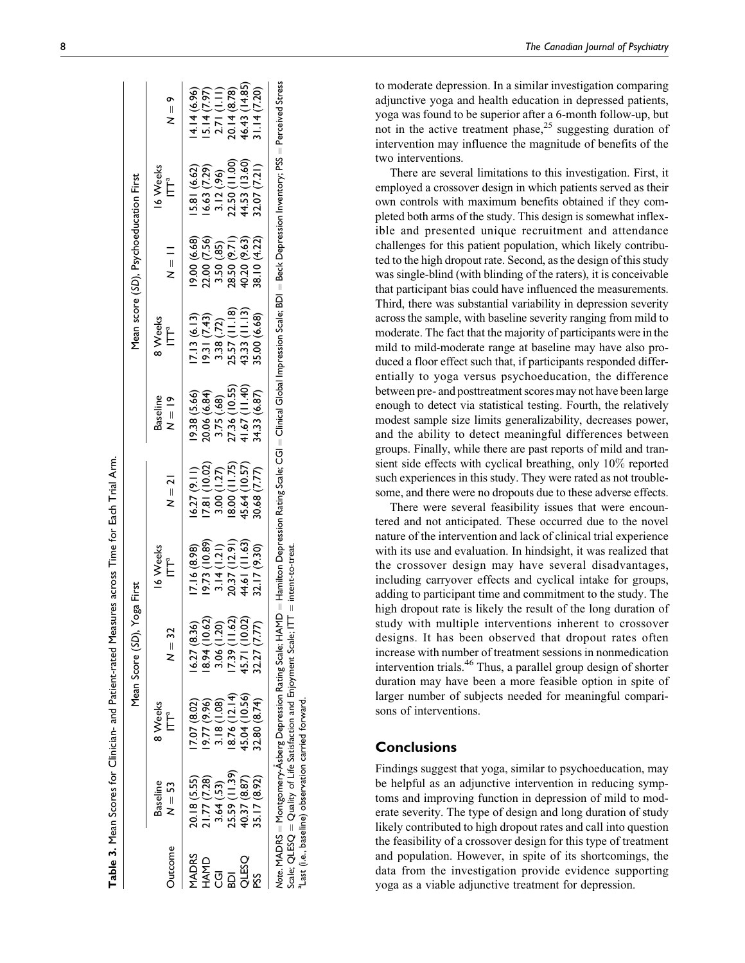|              |                           |                                                                           | Mean Score (SD), Yoga First                                                                                                                                                                      |                                                                              |               |                                                              |                                                                                                    | Mean score (SD), Psychoeducation First |                                              |                                                                                             |
|--------------|---------------------------|---------------------------------------------------------------------------|--------------------------------------------------------------------------------------------------------------------------------------------------------------------------------------------------|------------------------------------------------------------------------------|---------------|--------------------------------------------------------------|----------------------------------------------------------------------------------------------------|----------------------------------------|----------------------------------------------|---------------------------------------------------------------------------------------------|
| Outcome      | <b>Baseline</b><br>N = 53 | 8 Weeks<br>Ĕ                                                              | $N = 32$                                                                                                                                                                                         | 16 Weeks<br>Ë                                                                | $N = 21$      | <b>Baseline</b><br>$N = 19$                                  | 8 Weeks<br>$\tilde{\mathbb{F}}$                                                                    | $\frac{1}{2}$                          | 16 Weeks<br>$\tilde{\mathsf{L}}$             | $\mathsf{S} = \mathsf{S}$                                                                   |
| <b>MADRS</b> | 20.18 (5.55)              | (207 (8.02)                                                               | 16.27(8.36)                                                                                                                                                                                      | 17.16 (8.98)                                                                 | (6.27(9.11)   | 19.38 (5.66)                                                 | 17.13(6.13)                                                                                        | 89.9 00 (6.68)                         | 5.81 (6.62)                                  | 4.14 (6.96)                                                                                 |
| <b>UNAH</b>  | 1.77(7.28)                | (9.96) 77.91                                                              | 8.94 (10.62)                                                                                                                                                                                     |                                                                              | 7.81(10.02)   |                                                              | 9.31(7.43)                                                                                         |                                        | 6.63 (7.29)                                  |                                                                                             |
|              | 3.64(.53)                 | 3.18(1.08)                                                                | 3.06 (1.20)                                                                                                                                                                                      |                                                                              | 3.00(1.27)    |                                                              |                                                                                                    | 22.00 (7.56)<br>3.50 (.85)             |                                              |                                                                                             |
| គ្ន          | 25.59 (11.39)             | 18.76(12.14)                                                              |                                                                                                                                                                                                  | $\begin{array}{c} 19.73 (10.89) \\ 3.14 (1.21) \\ 20.37 (12.91) \end{array}$ | (11.75)       | 20.06 (6.84)<br>3.75 (.68)<br>27.36 (10.55)<br>41.67 (11.40) | $\begin{array}{c} 3.38 \ (72) \\ 25.57 \ (11.18) \\ 43.33 \ (11.13) \\ 35.00 \ (6.68) \end{array}$ | 28.50 (9.71)                           | 3.12 (.96)<br>22.50 (11.00)<br>44.53 (13.60) | $\begin{array}{c} 15.14 (7.97) \\ 2.71 (1.11) \\ 20.14 (8.78) \\ 46.43 (14.85) \end{array}$ |
| OSSTIC       | 40.37 (8.87)              | 45.04 (10.56)                                                             | 17.39 (11.62)<br>45.71 (10.02)                                                                                                                                                                   | 44.61 (11.63)                                                                | 45.64 (10.57) |                                                              |                                                                                                    | 40.20 (9.63)                           |                                              |                                                                                             |
| SSq          | 35.17 (8.92)              | 32.80 (8.74)                                                              | 32.27 (7.77)                                                                                                                                                                                     | 32.17 (9.30)                                                                 | 30.68 (7.77)  | 34.33 (6.87)                                                 |                                                                                                    | 38.10 (4.22)                           | 32.07 (7.21)                                 | 1.14 (7.20)                                                                                 |
|              |                           | Scale; $Q$ LES $Q = Q$ uality of Life Satisfaction and Enjoyment Scale; I | Note: MADRS = Montgomery-Asberg Depression Rating Scale; HAMD = Hamiton Depression Rating Scale; CGI = Clinical Global Impression Scale; BDI = Beck Depression Inventory; PSS = Perceived Stress | $TT =$ intent-to-treat                                                       |               |                                                              |                                                                                                    |                                        |                                              |                                                                                             |

to moderate depression. In a similar investigation comparing adjunctive yoga and health education in depressed patients, yoga was found to be superior after a 6-month follow-up, but not in the active treatment phase, $25$  suggesting duration of intervention may influence the magnitude of benefits of the two interventions.

There are several limitations to this investigation. First, it employed a crossover design in which patients served as their own controls with maximum benefits obtained if they completed both arms of the study. This design is somewhat inflexible and presented unique recruitment and attendance challenges for this patient population, which likely contributed to the high dropout rate. Second, as the design of this study was single-blind (with blinding of the raters), it is conceivable that participant bias could have influenced the measurements. Third, there was substantial variability in depression severity across the sample, with baseline severity ranging from mild to moderate. The fact that the majority of participants were in the mild to mild-moderate range at baseline may have also produced a floor effect such that, if participants responded differentially to yoga versus psychoeducation, the difference between pre- and posttreatment scores may not have been large enough to detect via statistical testing. Fourth, the relatively modest sample size limits generalizability, decreases power, and the ability to detect meaningful differences between groups. Finally, while there are past reports of mild and transient side effects with cyclical breathing, only 10% reported such experiences in this study. They were rated as not troublesome, and there were no dropouts due to these adverse effects.

There were several feasibility issues that were encountered and not anticipated. These occurred due to the novel nature of the intervention and lack of clinical trial experience with its use and evaluation. In hindsight, it was realized that the crossover design may have several disadvantages, including carryover effects and cyclical intake for groups, adding to participant time and commitment to the study. The high dropout rate is likely the result of the long duration of study with multiple interventions inherent to crossover designs. It has been observed that dropout rates often increase with number of treatment sessions in nonmedication intervention trials.<sup>46</sup> Thus, a parallel group design of shorter duration may have been a more feasible option in spite of larger number of subjects needed for meaningful comparisons of interventions.

# **Conclusions**

aLast (i.e., baseline) observation carried forward.

 $^{a}$  Last

(i.e., baseline) observation carried forward

Findings suggest that yoga, similar to psychoeducation, may be helpful as an adjunctive intervention in reducing symptoms and improving function in depression of mild to moderate severity. The type of design and long duration of study likely contributed to high dropout rates and call into question the feasibility of a crossover design for this type of treatment and population. However, in spite of its shortcomings, the data from the investigation provide evidence supporting yoga as a viable adjunctive treatment for depression.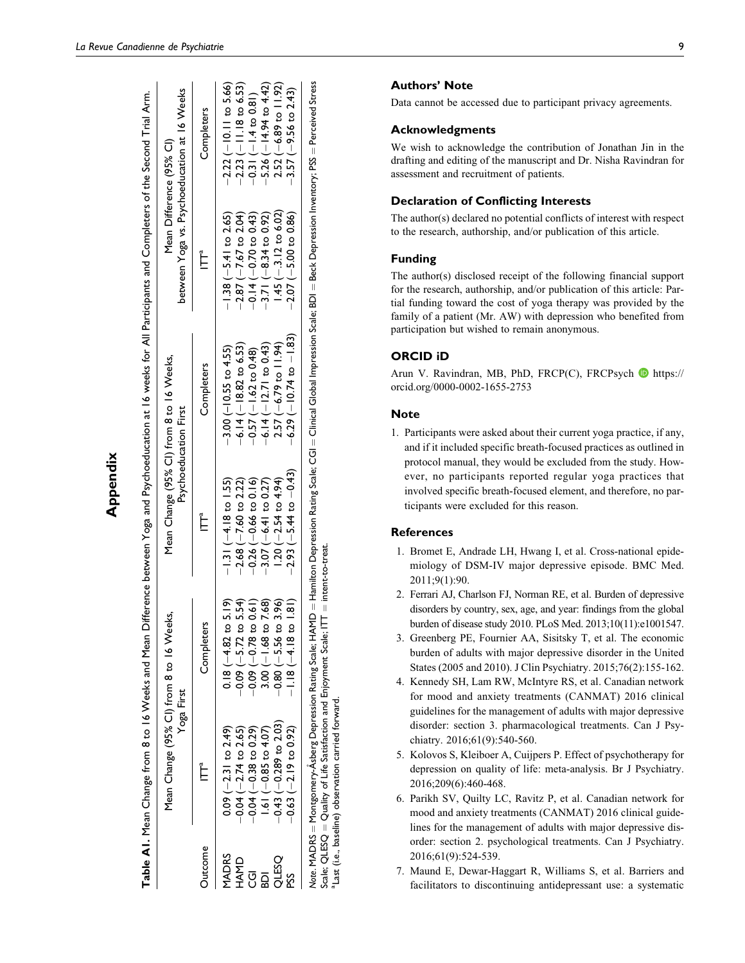| × |
|---|
|   |
|   |
|   |
|   |
|   |
|   |
|   |
|   |

Table AI. Mean Change from 8 to 16 Weeks and Mean Difference between Yoga and Psychoeducation at 16 weeks for All Participants and Completers of the Second Trial Arm. Table A1. Mean Change from 8 to 16 Weeks and Mean Difference between Yoga and Psychoeducation at 16 weeks for All Participants and Completers of the Second Trial Arm.

|                                        | Mean Change (95% CI) from 8 to 16 Weeks,<br>Yoga First                                                     |                                                                                                                                                                         |                                                                                                                       | Mean Change (95% CI) from 8 to 16 Weeks,<br>Psychoeducation First                                                                                                                                 | between Yoga vs. Psychoeducation at 16 Weeks<br>Mean Difference (95% Cl)                                           |                                                                                                                                   |
|----------------------------------------|------------------------------------------------------------------------------------------------------------|-------------------------------------------------------------------------------------------------------------------------------------------------------------------------|-----------------------------------------------------------------------------------------------------------------------|---------------------------------------------------------------------------------------------------------------------------------------------------------------------------------------------------|--------------------------------------------------------------------------------------------------------------------|-----------------------------------------------------------------------------------------------------------------------------------|
| Outcome                                | Ĕ                                                                                                          | Completers                                                                                                                                                              | Ĕ                                                                                                                     | Completers                                                                                                                                                                                        | Ė                                                                                                                  | Completers                                                                                                                        |
| MADRS<br><b>HAMD</b><br>g<br><b>DS</b> | $1.61 (-0.85 to 4.07)$<br>$0.09 (-2.31 to 2.49)$<br>$-0.04$ $(-2.74$ to 2.65)<br>$-0.04$ $(-0.38$ to 0.29) | 5.19<br>$-0.09 (-5.72 \text{ to } 5.54)$<br>$-0.09 (-0.78 \text{ to } 0.61)$<br>$3.00 (-1.68 \text{ to } 7.68)$<br>$-0.80 (-5.56 \text{ to } 3.96)$<br>$0.18(-4.82)$ to | $-3.07 (-6.41$ to 0.27)<br>$-1.31 (-4.18 \text{ to } 1.55)$<br>$-2.68$ $(-7.60$ to 2.22)<br>$-0.26$ $(-0.66$ to 0.16) | $-6.14 (-12.71 to 0.43)$<br>$-6.14 (-18.82 to 6.53)$<br>$-3.00$ ( $-10.55$ to 4.55)<br>$-0.57$ ( $-1.62$ to 0.48)                                                                                 | $-1.38(-5.41$ to 2.65)<br>$-2.87$ ( $-7.67$ to 2.04)<br>$-0.14 (-0.70 \text{ to } 0.43)$<br>$-3.71(-8.34$ to 0.92) | $-5.26$ ( $-14.94$ to $4.42$ )<br>$-2.23$ ( $-11.18$ to 6.53)<br>$-2.22$ ( $-10.11$ to $5.66$ )<br>$-0.31(-1.4 \text{ to } 0.81)$ |
| OSSTIC                                 | $-0.43$ $(-0.289$ to 2.03)<br>$-0.63$ $(-2.19$ to 0.92)                                                    | $\frac{1}{2}$<br>$1.18 (-4.18 to$                                                                                                                                       | $-2.93(-5.44 \text{ to } -0.43)$<br>$1.20 (-2.54 \text{ to } 4.94)$                                                   | $-6.29$ ( $-10.74$ to $-1.83$ )<br>$2.57 (-6.79 \text{ to } 11.94)$                                                                                                                               | $1.45$ (-.3.12 to 6.02)<br>$-2.07$ ( $-5.00$ to $0.86$ )                                                           | $2.52 (-6.89 \text{ to } 11.92)$<br>$-3.57$ (-9.56 to 2.43)                                                                       |
|                                        |                                                                                                            |                                                                                                                                                                         |                                                                                                                       | Note. MADRS = Montgomery-Asberg Depression Rating Scale; HAMD = Hamilton Depression Rating Scale; CGI = Clinical Global Impression Scale; BDI = Beck Depression Inventory; PSS = Perceived Stress |                                                                                                                    |                                                                                                                                   |

 intent-to-treat. Quality of Life Satisfaction and Enjoyment Scale; ITT carried forward. aLast (i.e., baseline) observation carried forward. a Last (i.e., baseline) observation Scale; QLESQ

Authors' Note

Data cannot be accessed due to participant privacy agreements.

# Acknowledgments

We wish to acknowledge the contribution of Jonathan Jin in the drafting and editing of the manuscript and Dr. Nisha Ravindran for assessment and recruitment of patients.

# Declaration of Conflicting Interests

The author(s) declared no potential conflicts of interest with respect to the research, authorship, and/or publication of this article.

#### Funding

The author(s) disclosed receipt of the following financial support for the research, authorship, and/or publication of this article: Partial funding toward the cost of yoga therapy was provided by the family of a patient (Mr. AW) with depression who benefited from participation but wished to remain anonymous.

#### ORCID iD

Arun V. Ravindran, MB, PhD, FRCP(C), FRCPsych **b** [https://](https://orcid.org/0000-0002-1655-2753) [orcid.org/0000-0002-1655-2753](https://orcid.org/0000-0002-1655-2753)

#### Note

1. Participants were asked about their current yoga practice, if any, and if it included specific breath-focused practices as outlined in protocol manual, they would be excluded from the study. However, no participants reported regular yoga practices that involved specific breath-focused element, and therefore, no participants were excluded for this reason.

#### **References**

- 1. Bromet E, Andrade LH, Hwang I, et al. Cross-national epidemiology of DSM-IV major depressive episode. BMC Med. 2011;9(1):90.
- 2. Ferrari AJ, Charlson FJ, Norman RE, et al. Burden of depressive disorders by country, sex, age, and year: findings from the global burden of disease study 2010. PLoS Med. 2013;10(11):e1001547.
- 3. Greenberg PE, Fournier AA, Sisitsky T, et al. The economic burden of adults with major depressive disorder in the United States (2005 and 2010). J Clin Psychiatry. 2015;76(2):155-162.
- 4. Kennedy SH, Lam RW, McIntyre RS, et al. Canadian network for mood and anxiety treatments (CANMAT) 2016 clinical guidelines for the management of adults with major depressive disorder: section 3. pharmacological treatments. Can J Psychiatry. 2016;61(9):540-560.
- 5. Kolovos S, Kleiboer A, Cuijpers P. Effect of psychotherapy for depression on quality of life: meta-analysis. Br J Psychiatry. 2016;209(6):460-468.
- 6. Parikh SV, Quilty LC, Ravitz P, et al. Canadian network for mood and anxiety treatments (CANMAT) 2016 clinical guidelines for the management of adults with major depressive disorder: section 2. psychological treatments. Can J Psychiatry. 2016;61(9):524-539.
- 7. Maund E, Dewar-Haggart R, Williams S, et al. Barriers and facilitators to discontinuing antidepressant use: a systematic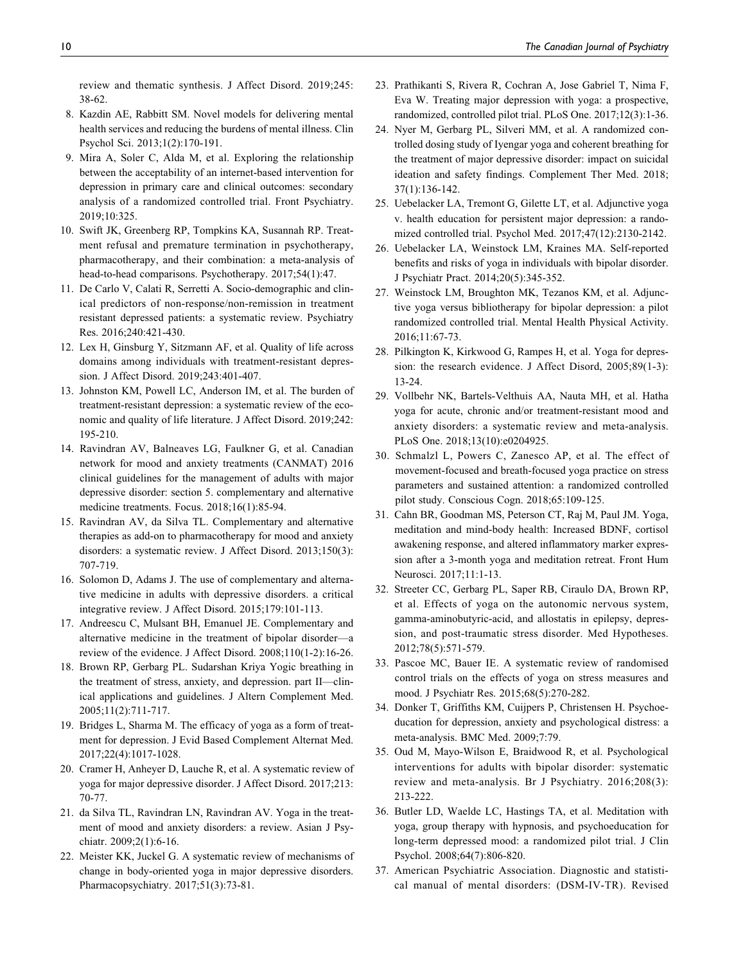review and thematic synthesis. J Affect Disord. 2019;245: 38-62.

- 8. Kazdin AE, Rabbitt SM. Novel models for delivering mental health services and reducing the burdens of mental illness. Clin Psychol Sci. 2013;1(2):170-191.
- 9. Mira A, Soler C, Alda M, et al. Exploring the relationship between the acceptability of an internet-based intervention for depression in primary care and clinical outcomes: secondary analysis of a randomized controlled trial. Front Psychiatry. 2019;10:325.
- 10. Swift JK, Greenberg RP, Tompkins KA, Susannah RP. Treatment refusal and premature termination in psychotherapy, pharmacotherapy, and their combination: a meta-analysis of head-to-head comparisons. Psychotherapy. 2017;54(1):47.
- 11. De Carlo V, Calati R, Serretti A. Socio-demographic and clinical predictors of non-response/non-remission in treatment resistant depressed patients: a systematic review. Psychiatry Res. 2016;240:421-430.
- 12. Lex H, Ginsburg Y, Sitzmann AF, et al. Quality of life across domains among individuals with treatment-resistant depression. J Affect Disord. 2019;243:401-407.
- 13. Johnston KM, Powell LC, Anderson IM, et al. The burden of treatment-resistant depression: a systematic review of the economic and quality of life literature. J Affect Disord. 2019;242: 195-210.
- 14. Ravindran AV, Balneaves LG, Faulkner G, et al. Canadian network for mood and anxiety treatments (CANMAT) 2016 clinical guidelines for the management of adults with major depressive disorder: section 5. complementary and alternative medicine treatments. Focus. 2018;16(1):85-94.
- 15. Ravindran AV, da Silva TL. Complementary and alternative therapies as add-on to pharmacotherapy for mood and anxiety disorders: a systematic review. J Affect Disord. 2013;150(3): 707-719.
- 16. Solomon D, Adams J. The use of complementary and alternative medicine in adults with depressive disorders. a critical integrative review. J Affect Disord. 2015;179:101-113.
- 17. Andreescu C, Mulsant BH, Emanuel JE. Complementary and alternative medicine in the treatment of bipolar disorder—a review of the evidence. J Affect Disord. 2008;110(1-2):16-26.
- 18. Brown RP, Gerbarg PL. Sudarshan Kriya Yogic breathing in the treatment of stress, anxiety, and depression. part II—clinical applications and guidelines. J Altern Complement Med. 2005;11(2):711-717.
- 19. Bridges L, Sharma M. The efficacy of yoga as a form of treatment for depression. J Evid Based Complement Alternat Med. 2017;22(4):1017-1028.
- 20. Cramer H, Anheyer D, Lauche R, et al. A systematic review of yoga for major depressive disorder. J Affect Disord. 2017;213: 70-77.
- 21. da Silva TL, Ravindran LN, Ravindran AV. Yoga in the treatment of mood and anxiety disorders: a review. Asian J Psychiatr. 2009;2(1):6-16.
- 22. Meister KK, Juckel G. A systematic review of mechanisms of change in body-oriented yoga in major depressive disorders. Pharmacopsychiatry. 2017;51(3):73-81.
- 23. Prathikanti S, Rivera R, Cochran A, Jose Gabriel T, Nima F, Eva W. Treating major depression with yoga: a prospective, randomized, controlled pilot trial. PLoS One. 2017;12(3):1-36.
- 24. Nyer M, Gerbarg PL, Silveri MM, et al. A randomized controlled dosing study of Iyengar yoga and coherent breathing for the treatment of major depressive disorder: impact on suicidal ideation and safety findings. Complement Ther Med. 2018; 37(1):136-142.
- 25. Uebelacker LA, Tremont G, Gilette LT, et al. Adjunctive yoga v. health education for persistent major depression: a randomized controlled trial. Psychol Med. 2017;47(12):2130-2142.
- 26. Uebelacker LA, Weinstock LM, Kraines MA. Self-reported benefits and risks of yoga in individuals with bipolar disorder. J Psychiatr Pract. 2014;20(5):345-352.
- 27. Weinstock LM, Broughton MK, Tezanos KM, et al. Adjunctive yoga versus bibliotherapy for bipolar depression: a pilot randomized controlled trial. Mental Health Physical Activity. 2016;11:67-73.
- 28. Pilkington K, Kirkwood G, Rampes H, et al. Yoga for depression: the research evidence. J Affect Disord, 2005;89(1-3): 13-24.
- 29. Vollbehr NK, Bartels-Velthuis AA, Nauta MH, et al. Hatha yoga for acute, chronic and/or treatment-resistant mood and anxiety disorders: a systematic review and meta-analysis. PLoS One. 2018;13(10):e0204925.
- 30. Schmalzl L, Powers C, Zanesco AP, et al. The effect of movement-focused and breath-focused yoga practice on stress parameters and sustained attention: a randomized controlled pilot study. Conscious Cogn. 2018;65:109-125.
- 31. Cahn BR, Goodman MS, Peterson CT, Raj M, Paul JM. Yoga, meditation and mind-body health: Increased BDNF, cortisol awakening response, and altered inflammatory marker expression after a 3-month yoga and meditation retreat. Front Hum Neurosci. 2017;11:1-13.
- 32. Streeter CC, Gerbarg PL, Saper RB, Ciraulo DA, Brown RP, et al. Effects of yoga on the autonomic nervous system, gamma-aminobutyric-acid, and allostatis in epilepsy, depression, and post-traumatic stress disorder. Med Hypotheses. 2012;78(5):571-579.
- 33. Pascoe MC, Bauer IE. A systematic review of randomised control trials on the effects of yoga on stress measures and mood. J Psychiatr Res. 2015;68(5):270-282.
- 34. Donker T, Griffiths KM, Cuijpers P, Christensen H. Psychoeducation for depression, anxiety and psychological distress: a meta-analysis. BMC Med. 2009;7:79.
- 35. Oud M, Mayo-Wilson E, Braidwood R, et al. Psychological interventions for adults with bipolar disorder: systematic review and meta-analysis. Br J Psychiatry. 2016;208(3): 213-222.
- 36. Butler LD, Waelde LC, Hastings TA, et al. Meditation with yoga, group therapy with hypnosis, and psychoeducation for long-term depressed mood: a randomized pilot trial. J Clin Psychol. 2008;64(7):806-820.
- 37. American Psychiatric Association. Diagnostic and statistical manual of mental disorders: (DSM-IV-TR). Revised